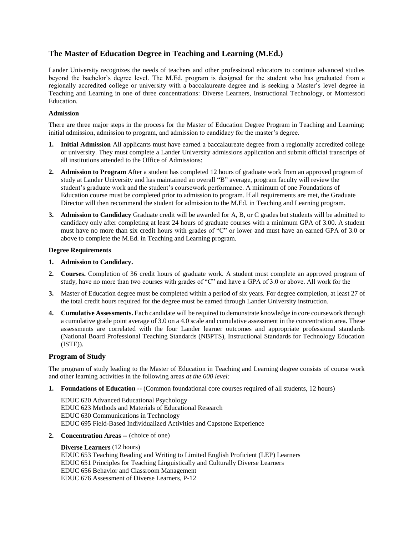# **The Master of Education Degree in Teaching and Learning (M.Ed.)**

Lander University recognizes the needs of teachers and other professional educators to continue advanced studies beyond the bachelor's degree level. The M.Ed. program is designed for the student who has graduated from a regionally accredited college or university with a baccalaureate degree and is seeking a Master's level degree in Teaching and Learning in one of three concentrations: Diverse Learners, Instructional Technology, or Montessori Education.

## **Admission**

There are three major steps in the process for the Master of Education Degree Program in Teaching and Learning: initial admission, admission to program, and admission to candidacy for the master's degree.

- **1. Initial Admission** All applicants must have earned a baccalaureate degree from a regionally accredited college or university. They must complete a Lander University admissions application and submit official transcripts of all institutions attended to the Office of Admissions:
- **2. Admission to Program** After a student has completed 12 hours of graduate work from an approved program of study at Lander University and has maintained an overall "B" average, program faculty will review the student's graduate work and the student's coursework performance. A minimum of one Foundations of Education course must be completed prior to admission to program. If all requirements are met, the Graduate Director will then recommend the student for admission to the M.Ed. in Teaching and Learning program.
- **3. Admission to Candidacy** Graduate credit will be awarded for A, B, or C grades but students will be admitted to candidacy only after completing at least 24 hours of graduate courses with a minimum GPA of 3.00. A student must have no more than six credit hours with grades of "C" or lower and must have an earned GPA of 3.0 or above to complete the M.Ed. in Teaching and Learning program.

#### **Degree Requirements**

- **1. Admission to Candidacy.**
- **2. Courses.** Completion of 36 credit hours of graduate work. A student must complete an approved program of study, have no more than two courses with grades of "C" and have a GPA of 3.0 or above. All work for the
- **3.** Master of Education degree must be completed within a period of six years. For degree completion, at least 27 of the total credit hours required for the degree must be earned through Lander University instruction.
- **4. Cumulative Assessments.** Each candidate will be required to demonstrate knowledge in core coursework through a cumulative grade point average of 3.0 on a 4.0 scale and cumulative assessment in the concentration area. These assessments are correlated with the four Lander learner outcomes and appropriate professional standards (National Board Professional Teaching Standards (NBPTS), Instructional Standards for Technology Education (ISTE)).

# **Program of Study**

The program of study leading to the Master of Education in Teaching and Learning degree consists of course work and other learning activities in the following areas *at the 600 level:*

**1. Foundations of Education --** (Common foundational core courses required of all students, 12 hours)

EDUC 620 Advanced Educational Psychology EDUC 623 Methods and Materials of Educational Research EDUC 630 Communications in Technology EDUC 695 Field-Based Individualized Activities and Capstone Experience

**2. Concentration Areas --** (choice of one)

#### **Diverse Learners** (12 hours)

EDUC 653 Teaching Reading and Writing to Limited English Proficient (LEP) Learners EDUC 651 Principles for Teaching Linguistically and Culturally Diverse Learners EDUC 656 Behavior and Classroom Management EDUC 676 Assessment of Diverse Learners, P-12